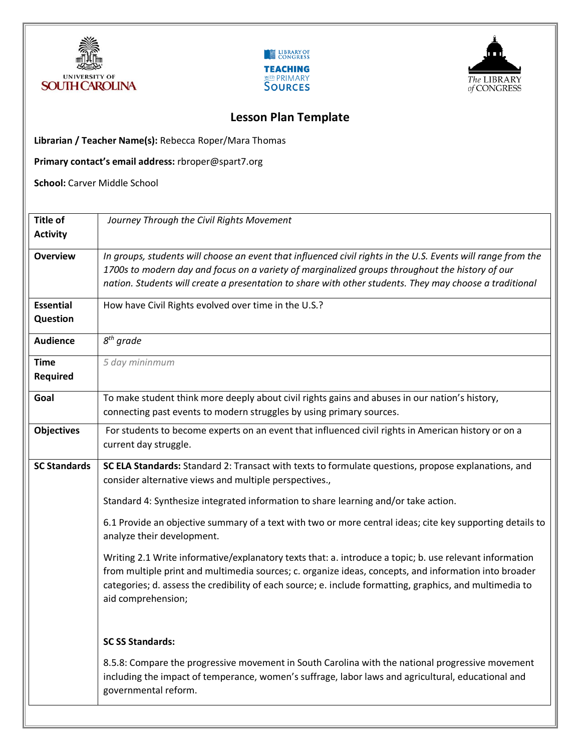





## **Lesson Plan Template**

**Librarian / Teacher Name(s):** Rebecca Roper/Mara Thomas

**Primary contact's email address:** rbroper@spart7.org

**School:** Carver Middle School

| <b>Title of</b>              | Journey Through the Civil Rights Movement                                                                                                                                                                                                                                                                                                          |
|------------------------------|----------------------------------------------------------------------------------------------------------------------------------------------------------------------------------------------------------------------------------------------------------------------------------------------------------------------------------------------------|
| <b>Activity</b>              |                                                                                                                                                                                                                                                                                                                                                    |
| <b>Overview</b>              | In groups, students will choose an event that influenced civil rights in the U.S. Events will range from the<br>1700s to modern day and focus on a variety of marginalized groups throughout the history of our<br>nation. Students will create a presentation to share with other students. They may choose a traditional                         |
| <b>Essential</b><br>Question | How have Civil Rights evolved over time in the U.S.?                                                                                                                                                                                                                                                                                               |
| <b>Audience</b>              | $8th$ grade                                                                                                                                                                                                                                                                                                                                        |
| <b>Time</b><br>Required      | 5 day mininmum                                                                                                                                                                                                                                                                                                                                     |
| Goal                         | To make student think more deeply about civil rights gains and abuses in our nation's history,<br>connecting past events to modern struggles by using primary sources.                                                                                                                                                                             |
| <b>Objectives</b>            | For students to become experts on an event that influenced civil rights in American history or on a<br>current day struggle.                                                                                                                                                                                                                       |
| <b>SC Standards</b>          | SC ELA Standards: Standard 2: Transact with texts to formulate questions, propose explanations, and<br>consider alternative views and multiple perspectives.,                                                                                                                                                                                      |
|                              | Standard 4: Synthesize integrated information to share learning and/or take action.                                                                                                                                                                                                                                                                |
|                              | 6.1 Provide an objective summary of a text with two or more central ideas; cite key supporting details to<br>analyze their development.                                                                                                                                                                                                            |
|                              | Writing 2.1 Write informative/explanatory texts that: a. introduce a topic; b. use relevant information<br>from multiple print and multimedia sources; c. organize ideas, concepts, and information into broader<br>categories; d. assess the credibility of each source; e. include formatting, graphics, and multimedia to<br>aid comprehension; |
|                              | <b>SC SS Standards:</b>                                                                                                                                                                                                                                                                                                                            |
|                              | 8.5.8: Compare the progressive movement in South Carolina with the national progressive movement<br>including the impact of temperance, women's suffrage, labor laws and agricultural, educational and<br>governmental reform.                                                                                                                     |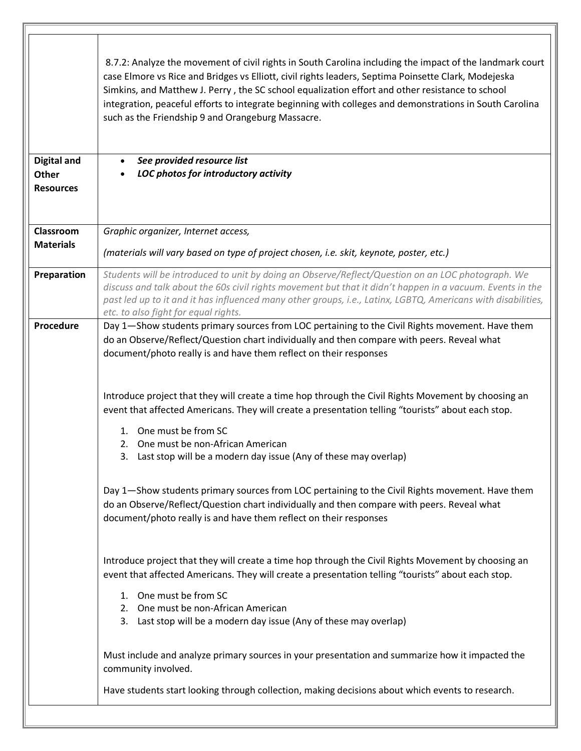| <b>Digital and</b><br>Other   | 8.7.2: Analyze the movement of civil rights in South Carolina including the impact of the landmark court<br>case Elmore vs Rice and Bridges vs Elliott, civil rights leaders, Septima Poinsette Clark, Modejeska<br>Simkins, and Matthew J. Perry, the SC school equalization effort and other resistance to school<br>integration, peaceful efforts to integrate beginning with colleges and demonstrations in South Carolina<br>such as the Friendship 9 and Orangeburg Massacre.<br>See provided resource list<br>LOC photos for introductory activity |
|-------------------------------|-----------------------------------------------------------------------------------------------------------------------------------------------------------------------------------------------------------------------------------------------------------------------------------------------------------------------------------------------------------------------------------------------------------------------------------------------------------------------------------------------------------------------------------------------------------|
| <b>Resources</b>              |                                                                                                                                                                                                                                                                                                                                                                                                                                                                                                                                                           |
| Classroom<br><b>Materials</b> | Graphic organizer, Internet access,<br>(materials will vary based on type of project chosen, i.e. skit, keynote, poster, etc.)                                                                                                                                                                                                                                                                                                                                                                                                                            |
| Preparation                   | Students will be introduced to unit by doing an Observe/Reflect/Question on an LOC photograph. We<br>discuss and talk about the 60s civil rights movement but that it didn't happen in a vacuum. Events in the<br>past led up to it and it has influenced many other groups, i.e., Latinx, LGBTQ, Americans with disabilities,<br>etc. to also fight for equal rights.                                                                                                                                                                                    |
| Procedure                     | Day 1-Show students primary sources from LOC pertaining to the Civil Rights movement. Have them<br>do an Observe/Reflect/Question chart individually and then compare with peers. Reveal what<br>document/photo really is and have them reflect on their responses                                                                                                                                                                                                                                                                                        |
|                               | Introduce project that they will create a time hop through the Civil Rights Movement by choosing an<br>event that affected Americans. They will create a presentation telling "tourists" about each stop.<br>1. One must be from SC<br>One must be non-African American<br>2.<br>3. Last stop will be a modern day issue (Any of these may overlap)                                                                                                                                                                                                       |
|                               | Day 1-Show students primary sources from LOC pertaining to the Civil Rights movement. Have them<br>do an Observe/Reflect/Question chart individually and then compare with peers. Reveal what<br>document/photo really is and have them reflect on their responses                                                                                                                                                                                                                                                                                        |
|                               | Introduce project that they will create a time hop through the Civil Rights Movement by choosing an<br>event that affected Americans. They will create a presentation telling "tourists" about each stop.<br>1. One must be from SC<br>One must be non-African American<br>2.<br>3. Last stop will be a modern day issue (Any of these may overlap)                                                                                                                                                                                                       |
|                               | Must include and analyze primary sources in your presentation and summarize how it impacted the<br>community involved.<br>Have students start looking through collection, making decisions about which events to research.                                                                                                                                                                                                                                                                                                                                |